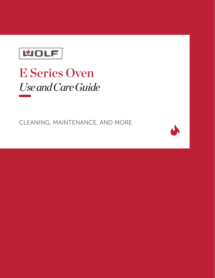

# E Series Oven *Use and Care Guide*

CLEANING, MAINTENANCE, AND MORE

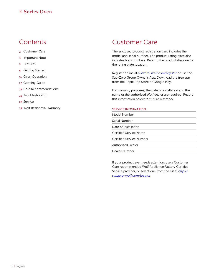### **Contents**

- 2 Customer Care
- 3 Important Note
- 5 Features
- **6** Getting Started
- 15 Oven Operation
- 20 Cooking Guide
- 25 Care Recommendations
- 26 Troubleshooting
- 28 Service
- 29 Wolf Residential Warranty

### Customer Care

The enclosed product registration card includes the model and serial number. The product rating plate also includes both numbers. Refer to the product diagram for the rating plate location.

Register online at *subzero-wolf.com/register* or use the Sub-Zero Group Owner's App. Download the free app from the Apple App Store or Google Play.

For warranty purposes, the date of installation and the name of the authorized Wolf dealer are required. Record this information below for future reference.

#### SERVICE INFORMATION

| Model Number             |
|--------------------------|
| Serial Number            |
| Date of Installation     |
| Certified Service Name   |
| Certified Service Number |
| <b>Authorized Dealer</b> |
| Dealer Number            |

If your product ever needs attention, use a Customer Care recommended Wolf Appliance Factory Certified Service provider, or select one from the list at *[http://](http://subzero-wolf.com/locator) [subzero-wolf.com/locator](http://subzero-wolf.com/locator)*.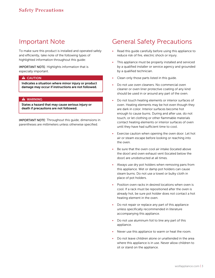### Important Note

To make sure this product is installed and operated safely and efficiently, take note of the following types of highlighted information throughout this guide:

IMPORTANT NOTE: Highlights information that is especially important.

#### **A** CAUTION

Indicates a situation where minor injury or product damage may occur if instructions are not followed.

#### **A** WARNING

States a hazard that may cause serious injury or death if precautions are not followed.

IMPORTANT NOTE: Throughout this guide, dimensions in parentheses are millimeters unless otherwise specified.

### General Safety Precautions

- Read this guide carefully before using this appliance to reduce risk of fire, electric shock or injury.
- This appliance must be properly installed and serviced by a qualified installer or service agency and grounded by a qualified technician.
- Clean only those parts listed in this quide.
- Do not use oven cleaners. No commercial oven cleaner or oven liner protective coating of any kind should be used in or around any part of the oven.
- Do not touch heating elements or interior surfaces of oven. Heating elements may be hot even though they are dark in color. Interior surfaces become hot enough to cause burns. During and after use, do not touch, or let clothing or other flammable materials contact heating elements or interior surfaces of oven until they have had sufficient time to cool.
- Exercise caution when opening the oven door. Let hot air or steam escape before looking or reaching into the oven.
- Be sure that the oven cool air intake (located above the door) and oven exhaust vent (located below the door) are unobstructed at all times.
- Always use dry pot holders when removing pans from this appliance. Wet or damp pot holders can cause steam burns. Do not use a towel or bulky cloth in place of pot holders.
- Position oven racks in desired locations when oven is cool. If a rack must be repositioned after the oven is already hot, be sure pot holder does not contact a hot heating element in the oven.
- Do not repair or replace any part of this appliance unless specifically recommended in literature accompanying this appliance.
- Do not use aluminum foil to line any part of this appliance.
- Never use this appliance to warm or heat the room.
- Do not leave children alone or unattended in the area where this appliance is in use. Never allow children to sit or stand on the appliance.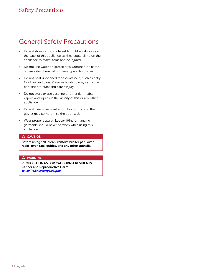### General Safety Precautions

- Do not store items of interest to children above or at the back of this appliance, as they could climb on the appliance to reach items and be injured.
- Do not use water on grease fires. Smother the flame or use a dry chemical or foam-type extinguisher.
- Do not heat unopened food containers, such as baby food jars and cans. Pressure build-up may cause the container to burst and cause injury.
- Do not store or use gasoline or other flammable vapors and liquids in the vicinity of this or any other appliance.
- Do not clean oven gasket; rubbing or moving the gasket may compromise the door seal.
- Wear proper apparel. Loose-fitting or hanging garments should never be worn while using this appliance.

#### **A** CAUTION

Before using self-clean, remove broiler pan, oven racks, oven rack guides, and any other utensils.

#### **A** WARNING

PROPOSITION 65 FOR CALIFORNIA RESIDENTS Cancer and Reproductive Harm [www.P65Warnings.ca.gov](http://www.P65Warnings.ca.gov)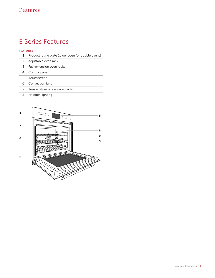# E Series Features Features

### FEATURES

|  | Product rating plate (lower oven for double ovens) |  |  |  |
|--|----------------------------------------------------|--|--|--|
|--|----------------------------------------------------|--|--|--|

- Adjustable oven rack
- Full-extension oven racks
- Control panel
- Touchscreen
- Convection fans
- Temperature probe receptacle
- Halogen lighting

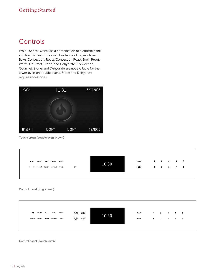### Getting Started

### **Controls**

Wolf E Series Ovens use a combination of a control panel and touchscreen. The oven has ten cooking modes— Bake, Convection, Roast, Convection Roast, Broil, Proof, Warm, Gourmet, Stone, and Dehydrate. Convection, Gourmet, Stone, and Dehydrate are not available for the lower oven on double ovens. Stone and Dehydrate require accessories.



Touchscreen (double oven shown)



Control panel (single oven)



#### Control panel (double oven)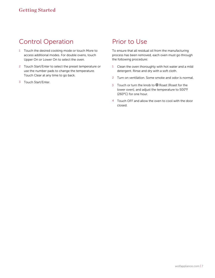# Control Operation

- 1 Touch the desired cooking mode or touch More to access additional modes. For double ovens, touch Upper On or Lower On to select the oven.
- 2 Touch Start/Enter to select the preset temperature or use the number pads to change the temperature. Touch Clear at any time to go back.
- 3 Touch Start/Enter.

## Prior to Use

To ensure that all residual oil from the manufacturing process has been removed, each oven must go through the following procedure:

- 1 Clean the oven thoroughly with hot water and a mild detergent. Rinse and dry with a soft cloth.
- 2 Turn on ventilation. Some smoke and odor is normal.
- 3 Touch or turn the knob to <sup>®</sup> Roast (Roast for the lower oven), and adjust the temperature to 500°F (260°C) for one hour.
- 4 Touch OFF and allow the oven to cool with the door closed.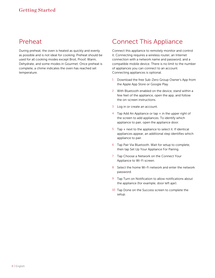### Preheat

During preheat, the oven is heated as quickly and evenly as possible and is not ideal for cooking. Preheat should be used for all cooking modes except Broil, Proof, Warm, Dehydrate, and some modes in Gourmet. Once preheat is complete, a chime indicates the oven has reached set temperature.

# Connect This Appliance

Connect this appliance to remotely monitor and control it. Connecting requires a wireless router, an Internet connection with a network name and password, and a compatible mobile device. There is no limit to the number of appliances you can connect to an account. Connecting appliances is optional.

- 1 Download the free Sub-Zero Group Owner's App from the Apple App Store or Google Play.
- 2 With Bluetooth enabled on the device, stand within a few feet of the appliance, open the app, and follow the on-screen instructions.
- 3 Log in or create an account.
- 4 Tap Add An Appliance or tap + in the upper right of the screen to add appliances. To identify which appliance to pair, open the appliance door.
- 5 Tap  $+$  next to the appliance to select it. If identical appliances appear, an additional step identifies which appliance to pair.
- 6 Tap Pair Via Bluetooth. Wait for setup to complete, then tap Set Up Your Appliance For Pairing.
- 7 Tap Choose a Network on the Connect Your Appliance to Wi-Fi screen.
- 8 Select the home Wi-Fi network and enter the network password.
- 9 Tap Turn on Notification to allow notifications about the appliance (for example, door left ajar).
- 10 Tap Done on the Success screen to complete the setup.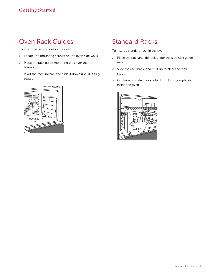## Oven Rack Guides

To insert the rack guides in the oven:

- 1 Locate the mounting screws on the oven side walls.
- 2 Place the rack guide mounting tabs over the top screws.
- 3 Pivot the rack inward, and slide it down until it is fully seated.



# Standard Racks

To insert a standard rack in the oven:

- 1 Place the rack anti-tip lock under the side rack guide rails.
- 2 Slide the rack back, and lift it up to clear the rack stops.
- 3 Continue to slide the rack back until it is completely inside the oven.

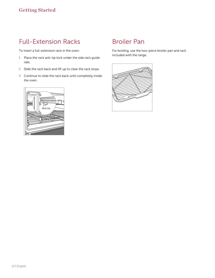# Full-Extension Racks Racks

To insert a full-extension rack in the oven:

- 1 Place the rack anti-tip lock under the side rack guide rails.
- 2 Slide the rack back and lift up to clear the rack stops.
- 3 Continue to slide the rack back until completely inside the oven.



### Broiler Pan

For broiling, use the two-piece broiler pan and rack included with the range.

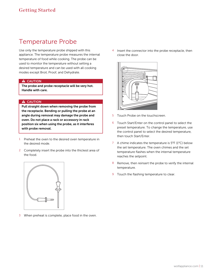### Temperature Probe

Use only the temperature probe shipped with this appliance. The temperature probe measures the internal temperature of food while cooking. The probe can be used to monitor the temperature without setting a desired temperature and can be used with all cooking modes except Broil, Proof, and Dehydrate.

#### **A** CAUTION

The probe and probe receptacle will be very hot. Handle with care.

#### **A** CAUTION

Pull straight down when removing the probe from the receptacle. Bending or pulling the probe at an angle during removal may damage the probe and oven. Do not place a rack or accessory in rack position six when using the probe, as it interferes with probe removal.

- 1 Preheat the oven to the desired oven temperature in the desired mode.
- 2 Completely insert the probe into the thickest area of the food.



3 When preheat is complete, place food in the oven.

4 Insert the connector into the probe receptacle, then close the door.



- 5 Touch Probe on the touchscreen.
- 6 Touch Start/Enter on the control panel to select the preset temperature. To change the temperature, use the control panel to select the desired temperature, then touch Start/Enter.
- 7 A chime indicates the temperature is 5°F (1°C) below the set temperature. The oven chimes and the set temperature flashes when the internal temperature reaches the setpoint.
- 8 Remove, then reinsert the probe to verify the internal temperature.
- 9 Touch the flashing temperature to clear.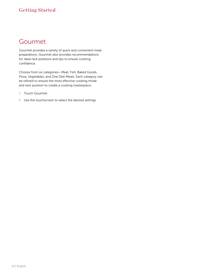### Getting Started

### Gourmet

Gourmet provides a variety of quick and convenient meal preparations. Gourmet also provides recommendations for ideal rack positions and tips to ensure cooking confidence.

Choose from six categories—Meat, Fish, Baked Goods, Pizza, Vegetables, and One Dish Meals. Each category can be refined to ensure the most effective cooking mode and rack position to create a cooking masterpiece.

- 1 Touch Gourmet.
- 2 Use the touchscreen to select the desired settings.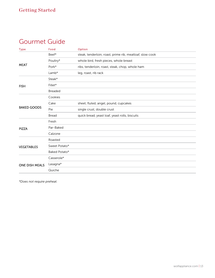### Gourmet Guide

| <b>Type</b>           | Food           | Option                                                   |
|-----------------------|----------------|----------------------------------------------------------|
|                       | Beef*          | steak, tenderloin, roast, prime rib, meatloaf, slow cook |
|                       | Poultry*       | whole bird, fresh pieces, whole breast                   |
| <b>MEAT</b>           | Pork*          | ribs, tenderloin, roast, steak, chop, whole ham          |
|                       | $Lamb*$        | leg, roast, rib rack                                     |
|                       | Steak*         |                                                          |
| <b>FISH</b>           | Fillet*        |                                                          |
|                       | <b>Breaded</b> |                                                          |
|                       | Cookies        |                                                          |
|                       | Cake           | sheet, fluted, angel, pound, cupcakes                    |
| <b>BAKED GOODS</b>    | Pie            | single crust, double crust                               |
|                       | <b>Bread</b>   | quick bread, yeast loaf, yeast rolls, biscuits           |
|                       | Fresh          |                                                          |
| <b>PIZZA</b>          | Par-Baked      |                                                          |
|                       | Calzone        |                                                          |
|                       | Roasted        |                                                          |
| <b>VEGETABLES</b>     | Sweet Potato*  |                                                          |
|                       | Baked Potato*  |                                                          |
|                       | Casserole*     |                                                          |
| <b>ONE DISH MEALS</b> | Lasagna*       |                                                          |
|                       | Quiche         |                                                          |

*\*Does not require preheat.*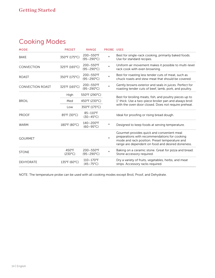# Cooking Modes Modes

| <b>MODE</b>             | <b>PRESET</b>             | <b>RANGE</b>                      | <b>PROBE USES</b> |                                                                                                                                                                                                    |  |
|-------------------------|---------------------------|-----------------------------------|-------------------|----------------------------------------------------------------------------------------------------------------------------------------------------------------------------------------------------|--|
| <b>BAKE</b>             | 350°F (175°C)             | 200-550°F<br>$(95-290^{\circ}C)$  | $\star$           | Best for single-rack cooking, primarily baked foods.<br>Use for standard recipes.                                                                                                                  |  |
| <b>CONVECTION</b>       | 325°F (165°C)             | 200-550°F<br>$(95-290°C)$         | $\star$           | Uniform air movement makes it possible to multi-level<br>rack cook with even browning.                                                                                                             |  |
| <b>ROAST</b>            | 350°F (175°C)             | 200-550°F<br>$(95-290^{\circ}C)$  | $\star$           | Best for roasting less tender cuts of meat, such as<br>chuck roasts and stew meat that should be covered.                                                                                          |  |
| <b>CONVECTION ROAST</b> | 325°F (165°C)             | 200-550°F<br>$(95-290°C)$         | $\star$           | Gently browns exterior and seals in juices. Perfect for<br>roasting tender cuts of beef, lamb, pork, and poultry.                                                                                  |  |
|                         | High                      | 550°F (290°C)                     |                   | Best for broiling meats, fish, and poultry pieces up to                                                                                                                                            |  |
| <b>BROIL</b>            | Med                       | 450°F (230°C)                     |                   | 1" thick. Use a two-piece broiler pan and always broil                                                                                                                                             |  |
|                         | Low                       | 350°F (175°C)                     |                   | with the oven door closed. Does not require preheat.                                                                                                                                               |  |
| <b>PROOF</b>            | 85°F (30°C)               | 85-110°F<br>$(30-45^{\circ}C)$    |                   | Ideal for proofing or rising bread dough.                                                                                                                                                          |  |
| <b>WARM</b>             | 180°F (80°C)              | 140-200°F<br>$(60 - 95^{\circ}C)$ | $^\star$          | Designed to keep foods at serving temperature.                                                                                                                                                     |  |
| <b>GOURMET</b>          |                           |                                   | $\star$           | Gourmet provides quick and convenient meal<br>preparations with recommendations for cooking<br>mode and rack position. Preset temperature and<br>range are dependent on food and desired doneness. |  |
| <b>STONE</b>            | 450°F<br>$(230^{\circ}C)$ | 200-550°F<br>$(95-290°C)$         | $\star$           | Baking on a ceramic stone. Great for pizza and bread.<br>Stone accessory required.                                                                                                                 |  |
| <b>DEHYDRATE</b>        | 135°F (60°C)              | 110-170°F<br>$(45 - 75^{\circ}C)$ |                   | Dry a variety of fruits, vegetables, herbs, and meat<br>strips. Accessory racks required.                                                                                                          |  |

NOTE: The temperature probe can be used with all cooking modes except Broil, Proof, and Dehydrate.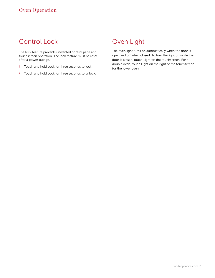## Control Lock

The lock feature prevents unwanted control pane and touchscreen operation. The lock feature must be reset after a power outage.

- 1 Touch and hold Lock for three seconds to lock.
- 2 Touch and hold Lock for three seconds to unlock.

### Oven Light

The oven light turns on automatically when the door is open and off when closed. To turn the light on while the door is closed, touch Light on the touchscreen. For a double oven, touch Light on the right of the touchscreen for the lower oven.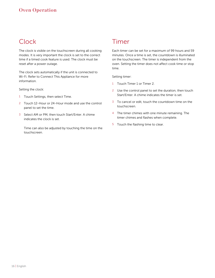# **Clock**

The clock is visible on the touchscreen during all cooking modes. It is very important the clock is set to the correct time if a timed cook feature is used. The clock must be reset after a power outage.

The clock sets automatically if the unit is connected to Wi-Fi. Refer to Connect This Appliance for more information.

Setting the clock:

- 1 Touch Settings, then select Time.
- 2 Touch 12-Hour or 24-Hour mode and use the control panel to set the time.
- 3 Select AM or PM, then touch Start/Enter. A chime indicates the clock is set.

Time can also be adjusted by touching the time on the touchscreen.

### Timer

Each timer can be set for a maximum of 99 hours and 59 minutes. Once a time is set, the countdown is illuminated on the touchscreen. The timer is independent from the oven. Setting the timer does not affect cook time or stop time.

Setting timer:

- 1 Touch Timer 1 or Timer 2.
- 2 Use the control panel to set the duration, then touch Start/Enter. A chime indicates the timer is set.
- 3 To cancel or edit, touch the countdown time on the touchscreen.
- 4 The timer chimes with one minute remaining. The timer chimes and flashes when complete.
- 5 Touch the flashing time to clear.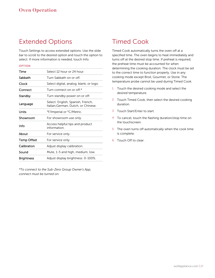### Extended Options

Touch Settings to access extended options. Use the slide bar to scroll to the desired option and touch the option to select. If more information is needed, touch Info.

#### OPTION

| Time                                                                                 | Select 12 hour or 24 hour.                     |  |  |  |  |  |
|--------------------------------------------------------------------------------------|------------------------------------------------|--|--|--|--|--|
| Sabbath                                                                              | Turn Sabbath on or off.                        |  |  |  |  |  |
| Clock                                                                                | Select digital, analog, blank, or logo.        |  |  |  |  |  |
| Connect                                                                              | Turn connect on or off.*                       |  |  |  |  |  |
| Standby                                                                              | Turn standby power on or off.                  |  |  |  |  |  |
| Select: English, Spanish, French,<br>Language<br>Italian, German, Dutch, or Chinese. |                                                |  |  |  |  |  |
| Units                                                                                | °F/Imperial or °C/Metric.                      |  |  |  |  |  |
| Showroom                                                                             | For showroom use only.                         |  |  |  |  |  |
| Info                                                                                 | Access helpful tips and product<br>information |  |  |  |  |  |
| About                                                                                | For service only.                              |  |  |  |  |  |
| <b>Temp Offset</b>                                                                   | For service only.                              |  |  |  |  |  |
| Calibration                                                                          | Adjust display calibration.                    |  |  |  |  |  |
| Sound                                                                                | Mute, 1-5 and high, medium, low.               |  |  |  |  |  |
| Brightness                                                                           | Adjust display brightness: 0-100%.             |  |  |  |  |  |

*\*To connect to the Sub-Zero Group Owner's App, connect must be turned on.*

# Timed Cook

Timed Cook automatically turns the oven off at a specified time. The oven begins to heat immediately and turns off at the desired stop time. If preheat is required, the preheat time must be accounted for when determining the cooking duration. The clock must be set to the correct time to function properly. Use in any cooking mode except Broil, Gourmet, or Stone. The temperature probe cannot be used during Timed Cook.

- 1 Touch the desired cooking mode and select the desired temperature.
- 2 Touch Timed Cook, then select the desired cooking duration.
- 3 Touch Start/Enter to start.
- 4 To cancel, touch the flashing duration/stop time on the touchscreen.
- 5 The oven turns off automatically when the cook time is complete.
- 6 Touch Off to clear.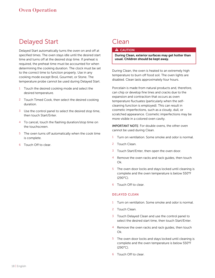### Delayed Start Delayed Start

Delayed Start automatically turns the oven on and off at specified times. The oven stays idle until the desired start time and turns off at the desired stop time. If preheat is required, the preheat time must be accounted for when determining the cooking duration. The clock must be set to the correct time to function properly. Use in any cooking mode except Broil, Gourmet, or Stone. The temperature probe cannot be used during Delayed Start.

- 1 Touch the desired cooking mode and select the desired temperature.
- 2 Touch Timed Cook, then select the desired cooking duration.
- 3 Use the control panel to select the desired stop time, then touch Start/Enter.
- 4 To cancel, touch the flashing duration/stop time on the touchscreen.
- 5 The oven turns off automatically when the cook time is complete.
- 6 Touch Off to clear.

### Clean

### **A** CAUTION

During Clean, exterior surfaces may get hotter than usual. Children should be kept away.

During Clean, the oven is heated to an extremely high temperature to burn off food soil. The oven lights are disabled. Clean lasts approximately four hours.

Porcelain is made from natural products and, therefore, can chip or develop fine lines and cracks due to the expansion and contraction that occurs as oven temperature fluctuates (particularly when the selfcleaning function is employed). This can result in cosmetic imperfections, such as a cloudy, dull, or scratched appearance. Cosmetic imperfections may be more visible in a colored oven cavity.

IMPORTANT NOTE: For double ovens, the other oven cannot be used during Clean.

- Turn on ventilation. Some smoke and odor is normal.
- 2 Touch Clean.
- 3 Touch Start/Enter, then open the oven door.
- 4 Remove the oven racks and rack guides, then touch Ok.
- 5 The oven door locks and stays locked until cleaning is complete and the oven temperature is below 550°F (290°C).
- 6 Touch Off to clear.

#### DELAYED CLEAN

- 1 Turn on ventilation. Some smoke and odor is normal.
- 2 Touch Clean.
- 3 Touch Delayed Clean and use the control panel to select the desired start time, then touch Start/Enter.
- 4 Remove the oven racks and rack guides, then touch Ok.
- 5 The oven door locks and stays locked until cleaning is complete and the oven temperature is below 550°F (290°C).
- 6 Touch Off to clear.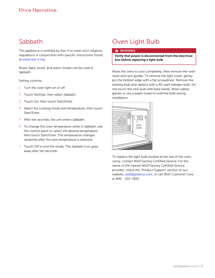### Sabbath

This appliance is certified by Star-K to meet strict religious regulations in conjunction with specific instructions found at *[www.star-k.org](http://www.star-k.org)*.

Roast, bake, proof, and warm modes can be used in Sabbath.

Setting controls:

- 1 Turn the oven light on or off.
- 2 Touch Settings, then select Sabbath.
- 3 Touch On, then touch Start/Enter.
- 4 Select the cooking mode and temperature, then touch Start/Enter.
- 5 After ten seconds, the unit enters Sabbath.
- 6 To change the oven temperature while in Sabbath, use the control panel to select the desired temperature, then touch Start/Enter. The temperature changes randomly after the new temperature is selected.
- 7 Touch Off to end the mode. The Sabbath icon goes away after ten seconds.

# Oven Light Bulb

### **A** WARNING

Verify that power is disconnected from the electrical box before replacing a light bulb.

Allow the oven to cool completely, then remove the oven racks and rack guides. To remove the light cover, gently pry the bottom edge with a flat screwdriver. Remove the existing bulb and replace with a 40-watt halogen bulb. Do not touch the new bulb with bare hands. Wear rubber gloves or use a paper towel to hold the bulb during installation.



To replace the light bulb located at the top of the oven cavity, contact Wolf Factory Certified Service. For the name of the nearest Wolf Factory Certified Service provider, check the "Product Support" section of our website, *wolfappliance.com*, or call Wolf Customer Care at 800 - 222-7820.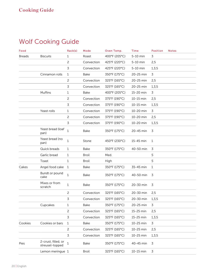| Food          |                                        | Rack(s)      | Mode         | Oven Temp.    | <b>Time</b>   | <b>Position</b> | <b>Notes</b> |
|---------------|----------------------------------------|--------------|--------------|---------------|---------------|-----------------|--------------|
| <b>Breads</b> | <b>Biscuits</b>                        | 1            | Roast        | 400°F (205°C) | 5-10 min<br>3 |                 |              |
|               |                                        | 2            | Convection   | 425°F (220°C) | 5-10 min      | 2,5             |              |
|               |                                        | 3            | Convection   | 425°F (220°C) | 5-10 min      | 1, 3, 5         |              |
|               | Cinnamon rolls                         | $\mathbf{1}$ | Bake         | 350°F (175°C) | 20-25 min     | 3               |              |
|               |                                        | 2            | Convection   | 325°F (165°C) | 20-25 min     | 2,5             |              |
|               |                                        | 3            | Convection   | 325°F (165°C) | 20-25 min     | 1, 3, 5         |              |
|               | Muffins                                | 1            | Bake         | 400°F (205°C) | 15-20 min     | 3               |              |
|               |                                        | 2            | Convection   | 375°F (190°C) | 10-15 min     | 2,5             |              |
|               |                                        | 3            | Convection   | 375°F (190°C) | 10-15 min     | 1, 3, 5         |              |
|               | Yeast rolls                            | 1            | Convection   | 375°F (190°C) | 10-20 min     | 3               |              |
|               |                                        | 2            | Convection   | 375°F (190°C) | 10-20 min     | 2,5             |              |
|               |                                        | 3            | Convection   | 375°F (190°C) | 10-20 min     | 1, 3, 5         |              |
|               | Yeast bread (loaf<br>pan)              | $\mathbf{1}$ | Bake         | 350°F (175°C) | 20-45 min     | 3               |              |
|               | Yeast bread (no<br>pan)                | $\mathbf{1}$ | Stone        | 450°F (230°C) | 15-45 min     | 1               |              |
|               | Quick breads                           | 1            | Bake         | 350°F (175°C) | 40-50 min     | 3               |              |
|               | Garlic bread                           | $\mathbf{1}$ | <b>Broil</b> | Med.          |               | 5               |              |
|               | Toast                                  | 1            | <b>Broil</b> | High          |               | 5               |              |
| Cakes         | Angel food cake                        | $\mathbf{1}$ | Bake         | 350°F (175°C) | 35-45 min     | 1               |              |
|               | Bundt or pound<br>cake                 | $1\,$        | Bake         | 350°F (175°C) | 40-50 min     | 3               |              |
|               | Mixes or from<br>scratch               | 1            | Bake         | 350°F (175°C) | 20-30 min     | 3               |              |
|               |                                        | 2            | Convection   | 325°F (165°C) | 20-30 min     | 2,5             |              |
|               |                                        | 3            | Convection   | 325°F (165°C) | 20-30 min     | 1, 3, 5         |              |
|               | Cupcakes                               | 1            | Bake         | 350°F (175°C) | 20-25 min     | 3               |              |
|               |                                        | 2            | Convection   | 325°F (165°C) | 15-25 min     | 2,5             |              |
|               |                                        | 3            | Convection   | 325°F (165°C) | 15-25 min     | 1, 3, 5         |              |
| Cookies       | Cookies or bars                        | $1\,$        | Bake         | 350°F (175°C) | 10-25 min     | 3               |              |
|               |                                        | 2            | Convection   | 325°F (165°C) | 10-25 min     | 2,5             |              |
|               |                                        | 3            | Convection   | 325°F (165°C) | 10-25 min     | 1, 3, 5         |              |
| Pies          | 2-crust, filled, or<br>streusel-topped | $1\,$        | Bake         | 350°F (175°C) | 40-45 min     | 3               |              |
|               | Lemon meringue 1                       |              | <b>Broil</b> | 325°F (165°C) | 10-15 min     | 3               |              |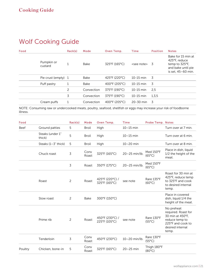| Food                  | Rack(s) | Mode       | Oven Temp.                         | <b>Time</b>         | <b>Position</b> | <b>Notes</b>                                                                                      |
|-----------------------|---------|------------|------------------------------------|---------------------|-----------------|---------------------------------------------------------------------------------------------------|
| Pumpkin or<br>custard |         | Bake       | 325°F (165°C)                      | <see note=""></see> | - 3             | Bake for 15 min at<br>425°F, reduce<br>temp to 325°F,<br>and bake until pie<br>is set, 45-60 min. |
| Pie crust (empty) 1   |         | Bake       | 425°F (220°C)                      | $10-15$ min         | -3              |                                                                                                   |
| Puff pastry           |         | Bake       | 400°F (205°C)                      | $10-15$ min         | 3               |                                                                                                   |
|                       | 2       | Convection | 375°F (190°C)                      | $10-15$ min         | 2,5             |                                                                                                   |
|                       | 3       | Convection | 375°F (190°C)                      | $10-15$ min         | 1, 3, 5         |                                                                                                   |
| Cream puffs           | 1       | Convection | $400^{\circ}$ F (205 $^{\circ}$ C) | 20-30 min           | - 3             |                                                                                                   |

NOTE: Consuming raw or undercooked meats, poultry, seafood, shellfish or eggs may increase your risk of foodborne illness.

| Food    |                            | Rack(s) | Mode          | Oven Temp.                       | <b>Time</b>       | Probe Temp. Notes              |                                                                                                                           |
|---------|----------------------------|---------|---------------|----------------------------------|-------------------|--------------------------------|---------------------------------------------------------------------------------------------------------------------------|
| Beef    | Ground patties             | 5       | <b>Broil</b>  | High                             | $10-15$ min       |                                | Turn over at 7 min.                                                                                                       |
|         | Steaks (under 1"<br>thick) | 5       | <b>Broil</b>  | High                             | $10-15$ min       |                                | Turn over at 6 min.                                                                                                       |
|         | Steaks $(1-3"$ thick)      | 5       | <b>Broil</b>  | High                             | $10-20$ min       |                                | Turn over at 8 min.                                                                                                       |
|         | Chuck roast                | 3       | Conv<br>Roast | 325°F (165°C)                    | $20 - 25$ min/lb. | Med 150°F<br>$(65^{\circ}C)$   | Place in dish, liquid<br>1/2 the height of the<br>meat.                                                                   |
|         |                            | 3       | Roast         | 350°F (175°C)                    | $20 - 25$ min/lb. | Med 150°F<br>$(65^{\circ}C)$   |                                                                                                                           |
|         | Roast                      | 2       | Roast         | 425°F (220°C) /<br>325°F (165°C) | see note          | Rare 135°F<br>$(60^{\circ}C)$  | Roast for 30 min at<br>425°F, reduce temp<br>to 325°F and cook<br>to desired internal<br>temp.                            |
|         | Slow roast                 | 2       | <b>Bake</b>   | 300°F (150°C)                    |                   |                                | Place in covered<br>dish, liquid 1/4 the<br>height of the meat.                                                           |
|         | Prime rib                  | 2       | Roast         | 450°F (230°C) /<br>225°F (105°C) | see note          | Rare 130°F<br>$(55^{\circ}C)$  | No preheat<br>required. Roast for<br>30 min at 450°F,<br>reduce temp to<br>225°F and cook to<br>desired internal<br>temp. |
|         | Tenderloin                 | 3       | Conv<br>Roast | 450°F (230°C)                    | 10-20 min/lb.     | Rare 130°F<br>$(55^{\circ}C)$  |                                                                                                                           |
| Poultry | Chicken, bone-in           | 5       | Conv<br>Roast | 325°F (165°C)                    | $20-25$ min       | Thigh 180°F<br>$(80^{\circ}C)$ |                                                                                                                           |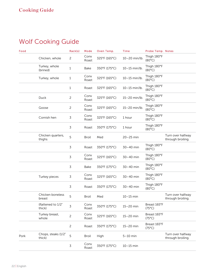| Food |                               | Rack(s)        | Mode          | Oven Temp.    | <b>Time</b>       | Probe Temp. Notes               |                                        |
|------|-------------------------------|----------------|---------------|---------------|-------------------|---------------------------------|----------------------------------------|
|      | Chicken, whole                | $\overline{c}$ | Conv<br>Roast | 325°F (165°C) | 10-20 min/lb.     | Thigh 180°F<br>$(80^{\circ}C)$  |                                        |
|      | Turkey, whole<br>(brined)     | $\mathbf{1}$   | <b>Bake</b>   | 350°F (175°C) | $10 - 15$ min/lb. | Thigh 180°F<br>$(80^{\circ}C)$  |                                        |
|      | Turkey, whole                 | 1              | Conv<br>Roast | 325°F (165°C) | $10-15$ min/lb.   | Thigh 180°F<br>$(80^{\circ}C)$  |                                        |
|      |                               | $\mathbf{1}$   | Roast         | 325°F (165°C) | 10-15 min/lb.     | Thigh 180°F<br>$(80^{\circ}C)$  |                                        |
|      | <b>Duck</b>                   | $\overline{c}$ | Conv<br>Roast | 325°F (165°C) | 15-20 min/lb.     | Thigh 180°F<br>$(80^{\circ}C)$  |                                        |
|      | Goose                         | $\overline{c}$ | Conv<br>Roast | 325°F (165°C) | 15-20 min/lb.     | Thigh 180°F<br>$(80^{\circ}C)$  |                                        |
|      | Cornish hen                   | $\overline{3}$ | Conv<br>Roast | 325°F (165°C) | 1 hour            | Thigh 180°F<br>$(80^{\circ}C)$  |                                        |
|      |                               | $\overline{3}$ | Roast         | 350°F (175°C) | 1 hour            | Thigh 180°F<br>$(80^{\circ}C)$  |                                        |
|      | Chicken quarters,<br>thighs   | 5              | <b>Broil</b>  | Med           | $20-25$ min       |                                 | Turn over halfway<br>through broiling. |
|      |                               | $\overline{3}$ | Roast         | 350°F (175°C) | 30-40 min         | Thigh 180°F<br>$(80^{\circ}C)$  |                                        |
|      |                               | $\overline{3}$ | Conv<br>Roast | 325°F (165°C) | 30-40 min         | Thigh 180°F<br>$(80^{\circ}C)$  |                                        |
|      |                               | 3              | <b>Bake</b>   | 350°F (175°C) | 30-40 min         | Thigh 180°F<br>$(80^{\circ}C)$  |                                        |
|      | Turkey pieces                 | 3              | Conv<br>Roast | 325°F (165°C) | 30-40 min         | Thigh 180°F<br>$(80^{\circ}C)$  |                                        |
|      |                               | $\overline{3}$ | Roast         | 350°F (175°C) | 30-40 min         | Thigh 180°F<br>$(80^{\circ}C)$  |                                        |
|      | Chicken boneless<br>breast    | 5              | <b>Broil</b>  | Med           | $10-15$ min       |                                 | Turn over halfway<br>through broiling. |
|      | (flattened to 1/2"<br>thick)  | 3              | Conv<br>Roast | 350°F (175°C) | 15-20 min         | Breast 165°F<br>$(75^{\circ}C)$ |                                        |
|      | Turkey breast,<br>whole       | $\overline{c}$ | Conv<br>Roast | 325°F (165°C) | $15-20$ min       | Breast 165°F<br>$(75^{\circ}C)$ |                                        |
|      |                               | $\overline{c}$ | Roast         | 350°F (175°C) | $15-20$ min       | Breast 165°F<br>$(75^{\circ}C)$ |                                        |
| Pork | Chops, steaks (1/2"<br>thick) | 5              | <b>Broil</b>  | High          | $5-10$ min        |                                 | Turn over halfway<br>through broiling. |
|      |                               | $\mathfrak{Z}$ | Conv<br>Roast | 350°F (175°C) | $10-15$ min       |                                 |                                        |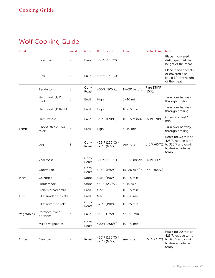| Food       |                               | Rack(s)        | Mode          | Oven Temp.                       | <b>Time</b>                | Probe Temp. Notes             |                                                                                                |
|------------|-------------------------------|----------------|---------------|----------------------------------|----------------------------|-------------------------------|------------------------------------------------------------------------------------------------|
|            | Slow roast                    | 2              | <b>Bake</b>   | 300°F (150°C)                    |                            |                               | Place in covered<br>dish, liquid 1/4 the<br>height of the meat.                                |
|            | Ribs                          | 3              | <b>Bake</b>   | 300°F (150°C)                    |                            |                               | Place in foil packets<br>or covered dish,<br>liquid 1/4 the height<br>of the meat.             |
|            | Tenderloin                    | 3              | Conv<br>Roast | 400°F (205°C)                    | 15-20 min/lb.              | Rare 130°F<br>$(55^{\circ}C)$ |                                                                                                |
|            | Ham steak (1/2"<br>thick)     | 5              | <b>Broil</b>  | High                             | $5-10$ min                 |                               | Turn over halfway<br>through broiling.                                                         |
|            | Ham steak (1" thick)          | - 5            | <b>Broil</b>  | High                             | $10-15$ min                |                               | Turn over halfway<br>through broiling.                                                         |
|            | Ham, whole                    | $\overline{2}$ | <b>Bake</b>   | 335°F (170°C)                    | 10-15 min/lb. 160°F (70°C) |                               | Cover and rest 15<br>min.                                                                      |
| Lamb       | Chops, steaks (3/4"<br>thick) | 5              | <b>Broil</b>  | High                             | $5-10$ min                 |                               | Turn over halfway<br>through broiling.                                                         |
|            | Leg                           | $\overline{c}$ | Conv<br>Roast | 425°F (220°C) /<br>325°F (165°C) | see note                   | 145°F (65°C)                  | Roast for 30 min at<br>425°F, reduce temp<br>to 325°F and cook<br>to desired internal<br>temp. |
|            | Veal roast                    | $\overline{c}$ | Conv<br>Roast | 300°F (150°C)                    | 30-35 min/lb. 140°F (60°C) |                               |                                                                                                |
|            | Crown rack                    | $\overline{c}$ | Conv<br>Roast | 325°F (165°C)                    | 15-20 min/lb. 145°F (65°C) |                               |                                                                                                |
| Pizza      | Calzones                      | $\mathbf{1}$   | Stone         | 375°F (190°C)                    | $10-15$ min                |                               |                                                                                                |
|            | Homemade                      | $\mathbf{1}$   | Stone         | 450°F (230°C)                    | $5-15$ min                 |                               |                                                                                                |
|            | French bread pizza            | 5              | <b>Broil</b>  | Med                              | $10-15$ min                |                               |                                                                                                |
| Fish       | Fillet (under 1" thick) 5     |                | <b>Broil</b>  | Med                              | $10-20$ min                |                               |                                                                                                |
|            | Fillet (over 1" thick)        | 5              | Conv<br>Roast | 375°F (190°C)                    | $15-25$ min                |                               |                                                                                                |
| Vegetables | Potatoes, sweet<br>potatoes   | 3              | Bake          | 350°F (175°C)                    | 45-60 min                  |                               |                                                                                                |
|            | Mixed vegetables              | 4              | Conv<br>Roast | 400°F (205°C)                    | $10-20$ min                |                               |                                                                                                |
| Other      | Meatloaf                      | $\overline{c}$ | Roast         | 425°F (220°C) /<br>325°F (165°C) | see note                   | 165°F (75°C)                  | Roast for 20 min at<br>425°F, reduce temp<br>to 325°F and cook<br>to desired internal<br>temp. |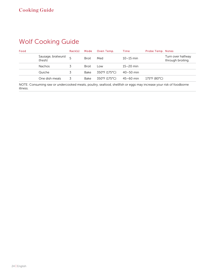| Food |                               | Rack(s) | Mode         | Oven Temp.    | Time          | Probe Temp. Notes |                                        |
|------|-------------------------------|---------|--------------|---------------|---------------|-------------------|----------------------------------------|
|      | Sausage, bratwurst<br>(fresh) |         | <b>Broil</b> | Med           | $10-15$ min   |                   | Turn over halfway<br>through broiling. |
|      | <b>Nachos</b>                 |         | <b>Broil</b> | Low           | $15 - 20$ min |                   |                                        |
|      | Quiche                        |         | Bake         | 350°F (175°C) | $40 - 50$ min |                   |                                        |
|      | One dish meals                |         | Bake         | 350°F (175°C) | $45 - 60$ min | 175°F (80°C)      |                                        |

NOTE: Consuming raw or undercooked meats, poultry, seafood, shellfish or eggs may increase your risk of foodborne illness.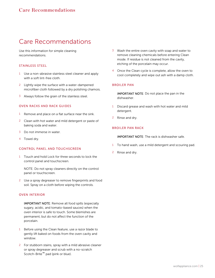### Care Recommendations

Use this information for simple cleaning recommendations.

#### STAINLESS STEEL

- 1 Use a non-abrasive stainless steel cleaner and apply with a soft lint-free cloth.
- 2 Lightly wipe the surface with a water-dampened microfiber cloth followed by a dry polishing chamois.
- 3 Always follow the grain of the stainless steel.

#### OVEN RACKS AND RACK GUIDES

- 1 Remove and place on a flat surface near the sink.
- 2 Clean with hot water and mild detergent or paste of baking soda and water.
- 3 Do not immerse in water.
- 4 Towel dry.

#### CONTROL PANEL AND TOUCHSCREEN

1 Touch and hold Lock for three seconds to lock the control panel and touchscreen.

NOTE: Do not spray cleaners directly on the control panel or touchscreen.

2 Use a spray degreaser to remove fingerprints and food soil. Spray on a cloth before wiping the controls.

#### OVEN INTERIOR

- IMPORTANT NOTE: Remove all food spills (especially sugary, acidic, and tomato-based sauces) when the oven interior is safe to touch. Some blemishes are permanent, but do not affect the function of the porcelain.
- 1 Before using the Clean feature, use a razor blade to gently lift baked on foods from the oven cavity and window.
- 2 For stubborn stains, spray with a mild abrasive cleaner or spray degreaser and scrub with a no-scratch Scotch-Brite™ pad (pink or blue).
- 3 Wash the entire oven cavity with soap and water to remove cleaning chemicals before entering Clean mode. If residue is not cleaned from the cavity, etching of the porcelain may occur.
- 4 Once the Clean cycle is complete, allow the oven to cool completely and wipe out ash with a damp cloth.

### BROILER PAN

IMPORTANT NOTE: Do not place the pan in the dishwasher.

- Discard grease and wash with hot water and mild detergent.
- 2 Rinse and dry.

### BROILER PAN RACK

IMPORTANT NOTE: The rack is dishwasher safe.

- 1 To hand wash, use a mild detergent and scouring pad.
- 2 Rinse and dry.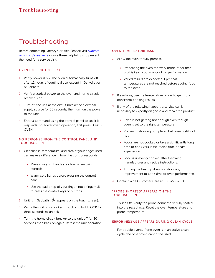# Troubleshooting

Before contacting Factory Certified Service visit *[subzero](http://subzero-wolf.com/assistance)[wolf.com/assistance](http://subzero-wolf.com/assistance)* or use these helpful tips to prevent the need for a service visit.

### OVEN DOES NOT OPERATE

- 1 Verify power is on. The oven automatically turns off after 12 hours of continual use, except in Dehydration or Sabbath.
- 2 Verify electrical power to the oven and home circuit breaker is on.
- 3 Turn off the unit at the circuit breaker or electrical supply source for 30 seconds, then turn on the power to the unit.
- 4 Enter a command using the control panel to see if it responds. For lower oven operation, first press LOWER OVEN.

#### NO RESPONSE FROM THE CONTROL PANEL AND **TOUCHSCREEN**

- 1 Cleanliness, temperature, and area of your finger used can make a difference in how the control responds.
	- Make sure your hands are clean when using controls
	- Warm cold hands before pressing the control panel.
	- Use the pad or tip of your finger, not a fingernail to press the control keys or buttons.
- 2 Unit is in Sabbath ( $\overrightarrow{X}$  appears on the touchscreen).
- 3 Verify the unit is not locked. Touch and hold LOCK for three seconds to unlock.
- 4 Turn the home circuit breaker to the unit off for 30 seconds then back on again. Retest the unit operation.

#### OVEN TEMPERATURE ISSUE

- 1 Allow the oven to fully preheat.
	- Preheating the oven for every mode other than broil is key to optimal cooking performance.
	- Varied results are expected if preheat temperatures are not reached before adding food to the oven.
- 2 If available, use the temperature probe to get more consistent cooking results.
- $3$  If any of the following happen, a service call is necessary to expertly diagnose and repair the product:
	- Oven is not getting hot enough even though oven is set to the right temperature.
	- Preheat is showing completed but oven is still not hot.
	- Foods are not cooked or take a significantly long time to cook versus the recipe time or past experience.
	- Food is unevenly cooked after following manufacturer and recipe instructions.
	- Turning the heat up does not show any improvement to cook time or oven performance.
- 4 Contact Wolf Customer Care at 800-222-7820.

#### "PROBE SHORTED" APPEARS ON THE **TOUCHSCREEN**

Touch Off. Verify the probe connector is fully seated into the receptacle. Reset the oven temperature and probe temperature.

#### ERROR MESSAGE APPEARS DURING CLEAN CYCLE

For double ovens, if one oven is in an active clean cycle, the other oven cannot be used.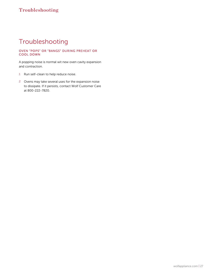# Troubleshooting

### OVEN "POPS" OR "BANGS" DURING PREHEAT OR COOL DOWN

A popping noise is normal wit new oven cavity expansion and contraction.

- 1 Run self-clean to help reduce noise.
- 2 Ovens may take several uses for the expansion noise to dissipate. If it persists, contact Wolf Customer Care at 800-222-7820.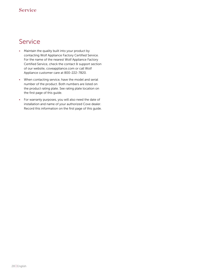### **Service**

- Maintain the quality built into your product by contacting Wolf Appliance Factory Certified Service. For the name of the nearest Wolf Appliance Factory Certified Service, check the contact & support section of our website, coveappliance.com or call Wolf Appliance customer care at 800-222-7820.
- When contacting service, have the model and serial number of the product. Both numbers are listed on the product rating plate. See rating plate location on the first page of this guide.
- For warranty purposes, you will also need the date of installation and name of your authorized Cove dealer. Record this information on the first page of this guide.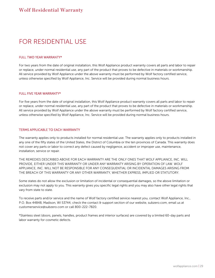# FOR RESIDENTIAL USE

#### FULL TWO YEAR WARRANTY\*

For two years from the date of original installation, this Wolf Appliance product warranty covers all parts and labor to repair or replace, under normal residential use, any part of the product that proves to be defective in materials or workmanship. All service provided by Wolf Appliance under the above warranty must be performed by Wolf factory certified service, unless otherwise specified by Wolf Appliance, Inc. Service will be provided during normal business hours.

#### FULL FIVE YEAR WARRANTY\*

For five years from the date of original installation, this Wolf Appliance product warranty covers all parts and labor to repair or replace, under normal residential use, any part of the product that proves to be defective in materials or workmanship. All service provided by Wolf Appliance under the above warranty must be performed by Wolf factory certified service, unless otherwise specified by Wolf Appliance, Inc. Service will be provided during normal business hours.

#### TERMS APPLICABLE TO EACH WARRANTY

The warranty applies only to products installed for normal residential use. The warranty applies only to products installed in any one of the fifty states of the United States, the District of Columbia or the ten provinces of Canada. This warranty does not cover any parts or labor to correct any defect caused by negligence, accident or improper use, maintenance, installation, service or repair.

THE REMEDIES DESCRIBED ABOVE FOR EACH WARRANTY ARE THE ONLY ONES THAT WOLF APPLIANCE, INC. WILL PROVIDE, EITHER UNDER THIS WARRANTY OR UNDER ANY WARRANTY ARISING BY OPERATION OF LAW. WOLF APPLIANCE, INC. WILL NOT BE RESPONSIBLE FOR ANY CONSEQUENTIAL OR INCIDENTAL DAMAGES ARISING FROM THE BREACH OF THIS WARRANTY OR ANY OTHER WARRANTY, WHETHER EXPRESS, IMPLIED OR STATUTORY.

Some states do not allow the exclusion or limitation of incidental or consequential damages, so the above limitation or exclusion may not apply to you. This warranty gives you specific legal rights and you may also have other legal rights that vary from state to state.

To receive parts and/or service and the name of Wolf factory certified service nearest you, contact Wolf Appliance, Inc., P.O. Box 44848, Madison, WI 53744; check the contact & support section of our website, subzero.com, email us at customerservice@subzero.com or call 800-222-7820.

\*Stainless steel (doors, panels, handles, product frames and interior surfaces) are covered by a limited 60-day parts and labor warranty for cosmetic defects.